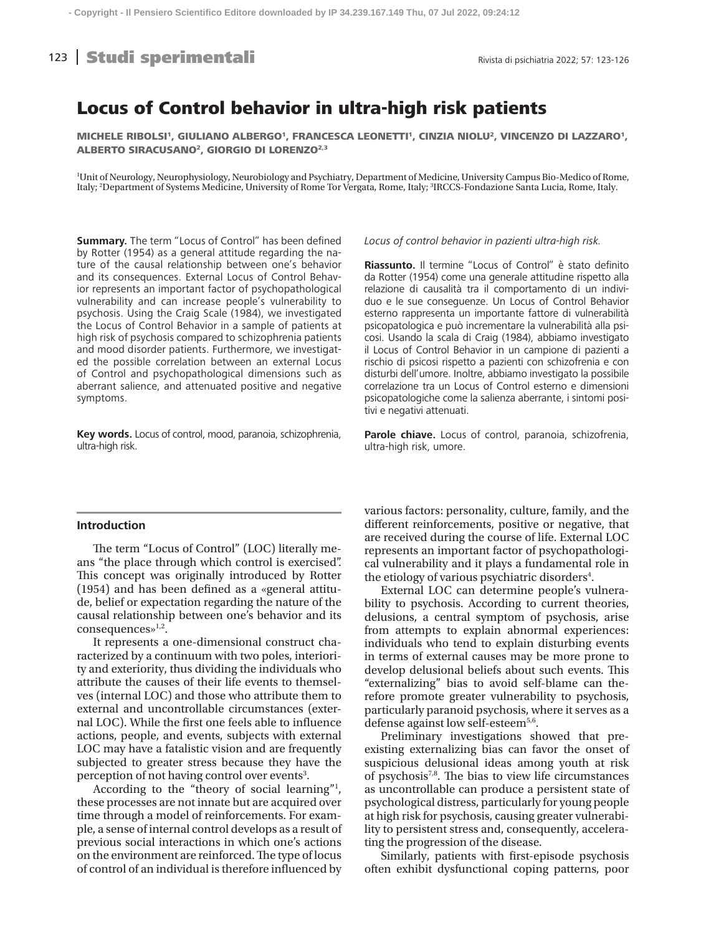# Locus of Control behavior in ultra-high risk patients

MICHELE RIBOLSI<sup>1</sup>, GIULIANO ALBERGO<sup>1</sup>, FRANCESCA LEONETTI<sup>1</sup>, CINZIA NIOLU<sup>2</sup>, VINCENZO DI LAZZARO<sup>1</sup>, ALBERTO SIRACUSANO2, GIORGIO DI LORENZO2,3

1 Unit of Neurology, Neurophysiology, Neurobiology and Psychiatry, Department of Medicine, University Campus Bio-Medico of Rome, Italy; <sup>2</sup>Department of Systems Medicine, University of Rome Tor Vergata, Rome, Italy; <sup>3</sup>IRCCS-Fondazione Santa Lucia, Rome, Italy.

**Summary.** The term "Locus of Control" has been defined by Rotter (1954) as a general attitude regarding the nature of the causal relationship between one's behavior and its consequences. External Locus of Control Behavior represents an important factor of psychopathological vulnerability and can increase people's vulnerability to psychosis. Using the Craig Scale (1984), we investigated the Locus of Control Behavior in a sample of patients at high risk of psychosis compared to schizophrenia patients and mood disorder patients. Furthermore, we investigated the possible correlation between an external Locus of Control and psychopathological dimensions such as aberrant salience, and attenuated positive and negative symptoms.

**Key words.** Locus of control, mood, paranoia, schizophrenia, ultra-high risk.

#### *Locus of control behavior in pazienti ultra-high risk.*

**Riassunto.** Il termine "Locus of Control" è stato definito da Rotter (1954) come una generale attitudine rispetto alla relazione di causalità tra il comportamento di un individuo e le sue conseguenze. Un Locus of Control Behavior esterno rappresenta un importante fattore di vulnerabilità psicopatologica e può incrementare la vulnerabilità alla psicosi. Usando la scala di Craig (1984), abbiamo investigato il Locus of Control Behavior in un campione di pazienti a rischio di psicosi rispetto a pazienti con schizofrenia e con disturbi dell'umore. Inoltre, abbiamo investigato la possibile correlazione tra un Locus of Control esterno e dimensioni psicopatologiche come la salienza aberrante, i sintomi positivi e negativi attenuati.

**Parole chiave.** Locus of control, paranoia, schizofrenia, ultra-high risk, umore.

# **Introduction**

The term "Locus of Control" (LOC) literally means "the place through which control is exercised". This concept was originally introduced by Rotter (1954) and has been defined as a «general attitude, belief or expectation regarding the nature of the causal relationship between one's behavior and its consequences»<sup>1,2</sup>.

It represents a one-dimensional construct characterized by a continuum with two poles, interiority and exteriority, thus dividing the individuals who attribute the causes of their life events to themselves (internal LOC) and those who attribute them to external and uncontrollable circumstances (external LOC). While the first one feels able to influence actions, people, and events, subjects with external LOC may have a fatalistic vision and are frequently subjected to greater stress because they have the perception of not having control over events<sup>3</sup>.

According to the "theory of social learning"<sup>1</sup>, these processes are not innate but are acquired over time through a model of reinforcements. For example, a sense of internal control develops as a result of previous social interactions in which one's actions on the environment are reinforced. The type of locus of control of an individual is therefore influenced by various factors: personality, culture, family, and the different reinforcements, positive or negative, that are received during the course of life. External LOC represents an important factor of psychopathological vulnerability and it plays a fundamental role in the etiology of various psychiatric disorders<sup>4</sup>.

External LOC can determine people's vulnerability to psychosis. According to current theories, delusions, a central symptom of psychosis, arise from attempts to explain abnormal experiences: individuals who tend to explain disturbing events in terms of external causes may be more prone to develop delusional beliefs about such events. This "externalizing" bias to avoid self-blame can therefore promote greater vulnerability to psychosis, particularly paranoid psychosis, where it serves as a defense against low self-esteem<sup>5,6</sup>.

Preliminary investigations showed that preexisting externalizing bias can favor the onset of suspicious delusional ideas among youth at risk of psychosis<sup>7,8</sup>. The bias to view life circumstances as uncontrollable can produce a persistent state of psychological distress, particularly for young people at high risk for psychosis, causing greater vulnerability to persistent stress and, consequently, accelerating the progression of the disease.

Similarly, patients with first-episode psychosis often exhibit dysfunctional coping patterns, poor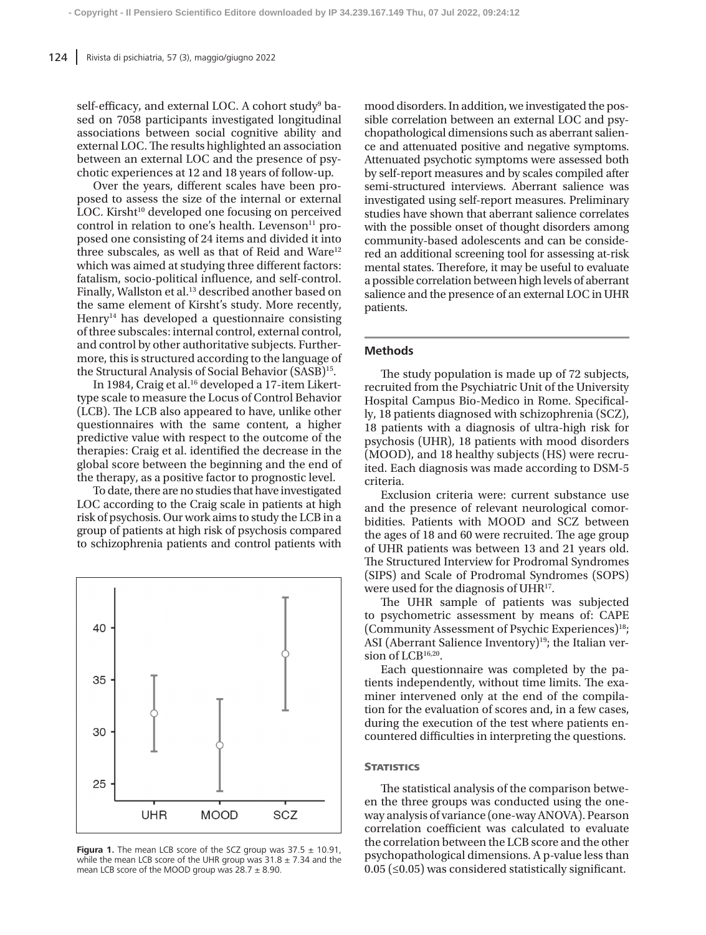self-efficacy, and external LOC. A cohort study<sup>9</sup> based on 7058 participants investigated longitudinal associations between social cognitive ability and external LOC. The results highlighted an association between an external LOC and the presence of psychotic experiences at 12 and 18 years of follow-up.

Over the years, different scales have been proposed to assess the size of the internal or external LOC. Kirsht<sup>10</sup> developed one focusing on perceived control in relation to one's health. Levenson<sup>11</sup> proposed one consisting of 24 items and divided it into three subscales, as well as that of Reid and Ware<sup>12</sup> which was aimed at studying three different factors: fatalism, socio-political influence, and self-control. Finally, Wallston et al.<sup>13</sup> described another based on the same element of Kirsht's study. More recently, Henry14 has developed a questionnaire consisting of three subscales: internal control, external control, and control by other authoritative subjects. Furthermore, this is structured according to the language of the Structural Analysis of Social Behavior (SASB)15.

In 1984, Craig et al.<sup>16</sup> developed a 17-item Likerttype scale to measure the Locus of Control Behavior (LCB). The LCB also appeared to have, unlike other questionnaires with the same content, a higher predictive value with respect to the outcome of the therapies: Craig et al. identified the decrease in the global score between the beginning and the end of the therapy, as a positive factor to prognostic level.

To date, there are no studies that have investigated LOC according to the Craig scale in patients at high risk of psychosis. Our work aims to study the LCB in a group of patients at high risk of psychosis compared to schizophrenia patients and control patients with



**Figura 1.** The mean LCB score of the SCZ group was 37.5 ± 10.91, while the mean LCB score of the UHR group was  $31.8 \pm 7.34$  and the mean LCB score of the MOOD group was  $28.7 \pm 8.90$ .

mood disorders. In addition, we investigated the possible correlation between an external LOC and psychopathological dimensions such as aberrant salience and attenuated positive and negative symptoms. Attenuated psychotic symptoms were assessed both by self-report measures and by scales compiled after semi-structured interviews. Aberrant salience was investigated using self-report measures. Preliminary studies have shown that aberrant salience correlates with the possible onset of thought disorders among community-based adolescents and can be considered an additional screening tool for assessing at-risk mental states. Therefore, it may be useful to evaluate a possible correlation between high levels of aberrant salience and the presence of an external LOC in UHR patients.

## **Methods**

The study population is made up of 72 subjects, recruited from the Psychiatric Unit of the University Hospital Campus Bio-Medico in Rome. Specifically, 18 patients diagnosed with schizophrenia (SCZ), 18 patients with a diagnosis of ultra-high risk for psychosis (UHR), 18 patients with mood disorders (MOOD), and 18 healthy subjects (HS) were recruited. Each diagnosis was made according to DSM-5 criteria.

Exclusion criteria were: current substance use and the presence of relevant neurological comorbidities. Patients with MOOD and SCZ between the ages of 18 and 60 were recruited. The age group of UHR patients was between 13 and 21 years old. The Structured Interview for Prodromal Syndromes (SIPS) and Scale of Prodromal Syndromes (SOPS) were used for the diagnosis of  $UHR<sup>17</sup>$ .

The UHR sample of patients was subjected to psychometric assessment by means of: CAPE (Community Assessment of Psychic Experiences)18; ASI (Aberrant Salience Inventory)<sup>19</sup>; the Italian version of LCB<sup>16,20</sup>.

Each questionnaire was completed by the patients independently, without time limits. The examiner intervened only at the end of the compilation for the evaluation of scores and, in a few cases, during the execution of the test where patients encountered difficulties in interpreting the questions.

## **STATISTICS**

The statistical analysis of the comparison between the three groups was conducted using the oneway analysis of variance (one-way ANOVA). Pearson correlation coefficient was calculated to evaluate the correlation between the LCB score and the other psychopathological dimensions. A p-value less than  $0.05$  ( $\leq 0.05$ ) was considered statistically significant.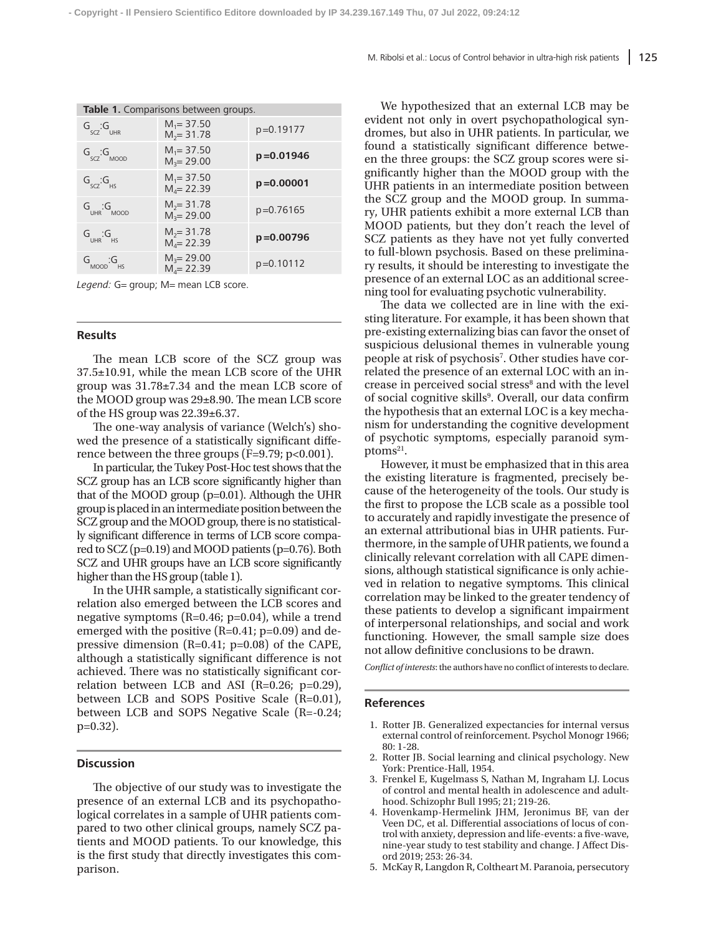| Table 1. Comparisons between groups.         |                                |               |
|----------------------------------------------|--------------------------------|---------------|
| $G_{_{\text{SCZ}}}$ : $G_{_{\text{UHR}}}$    | $M_1 = 37.50$<br>$M_2 = 31.78$ | $p = 0.19177$ |
| $G_{SCZ}$ : $G_{MOOD}$                       | $M_1 = 37.50$<br>$M3= 29.00$   | $p = 0.01946$ |
| $G_{_{\mathsf{SCZ}}}$ : $G_{_{\mathsf{HS}}}$ | $M_1 = 37.50$<br>$M4= 22.39$   | $p = 0.00001$ |
| $G_{UHR}$ : $G_{MOOD}$                       | $M_2 = 31.78$<br>$M3= 29.00$   | $p = 0.76165$ |
| $G_{UHR}$ : $G_{HS}$                         | $M_2 = 31.78$<br>$M4= 22.39$   | $p = 0.00796$ |
| $G_{_{MOOD}}:G_{_{HS}}$                      | $M3= 29.00$<br>$M4= 22.39$     | $p = 0.10112$ |

Legend: G= group; M= mean LCB score.

## **Results**

The mean LCB score of the SCZ group was 37.5±10.91, while the mean LCB score of the UHR group was 31.78±7.34 and the mean LCB score of the MOOD group was 29±8.90. The mean LCB score of the HS group was 22.39±6.37.

The one-way analysis of variance (Welch's) showed the presence of a statistically significant difference between the three groups  $(F=9.79; p<0.001)$ .

In particular, the Tukey Post-Hoc test shows that the SCZ group has an LCB score significantly higher than that of the MOOD group (p=0.01). Although the UHR group is placed in an intermediate position between the SCZ group and the MOOD group, there is no statistically significant difference in terms of LCB score compared to SCZ (p=0.19) and MOOD patients (p=0.76). Both SCZ and UHR groups have an LCB score significantly higher than the HS group (table 1).

In the UHR sample, a statistically significant correlation also emerged between the LCB scores and negative symptoms (R=0.46; p=0.04), while a trend emerged with the positive (R=0.41; p=0.09) and depressive dimension (R=0.41; p=0.08) of the CAPE, although a statistically significant difference is not achieved. There was no statistically significant correlation between LCB and ASI (R=0.26; p=0.29), between LCB and SOPS Positive Scale (R=0.01), between LCB and SOPS Negative Scale (R=-0.24; p=0.32).

## **Discussion**

The objective of our study was to investigate the presence of an external LCB and its psychopathological correlates in a sample of UHR patients compared to two other clinical groups, namely SCZ patients and MOOD patients. To our knowledge, this is the first study that directly investigates this comparison.

We hypothesized that an external LCB may be evident not only in overt psychopathological syndromes, but also in UHR patients. In particular, we found a statistically significant difference between the three groups: the SCZ group scores were significantly higher than the MOOD group with the UHR patients in an intermediate position between the SCZ group and the MOOD group. In summary, UHR patients exhibit a more external LCB than MOOD patients, but they don't reach the level of SCZ patients as they have not yet fully converted to full-blown psychosis. Based on these preliminary results, it should be interesting to investigate the presence of an external LOC as an additional screening tool for evaluating psychotic vulnerability.

The data we collected are in line with the existing literature. For example, it has been shown that pre-existing externalizing bias can favor the onset of suspicious delusional themes in vulnerable young people at risk of psychosis<sup>7</sup>. Other studies have correlated the presence of an external LOC with an increase in perceived social stress<sup>8</sup> and with the level of social cognitive skills<sup>9</sup>. Overall, our data confirm the hypothesis that an external LOC is a key mechanism for understanding the cognitive development of psychotic symptoms, especially paranoid symptoms $2<sup>1</sup>$ .

However, it must be emphasized that in this area the existing literature is fragmented, precisely because of the heterogeneity of the tools. Our study is the first to propose the LCB scale as a possible tool to accurately and rapidly investigate the presence of an external attributional bias in UHR patients. Furthermore, in the sample of UHR patients, we found a clinically relevant correlation with all CAPE dimensions, although statistical significance is only achieved in relation to negative symptoms. This clinical correlation may be linked to the greater tendency of these patients to develop a significant impairment of interpersonal relationships, and social and work functioning. However, the small sample size does not allow definitive conclusions to be drawn.

*Conflict of interests*: the authors have no conflict of interests to declare.

### **References**

- 1. Rotter JB. Generalized expectancies for internal versus external control of reinforcement. Psychol Monogr 1966; 80: 1-28.
- 2. Rotter JB. Social learning and clinical psychology. New York: Prentice-Hall, 1954.
- 3. Frenkel E, Kugelmass S, Nathan M, Ingraham LJ. Locus of control and mental health in adolescence and adulthood. Schizophr Bull 1995; 21; 219-26.
- 4. Hovenkamp-Hermelink JHM, Jeronimus BF, van der Veen DC, et al. Differential associations of locus of control with anxiety, depression and life-events: a five-wave, nine-year study to test stability and change. J Affect Disord 2019; 253: 26-34.
- 5. McKay R, Langdon R, Coltheart M. Paranoia, persecutory